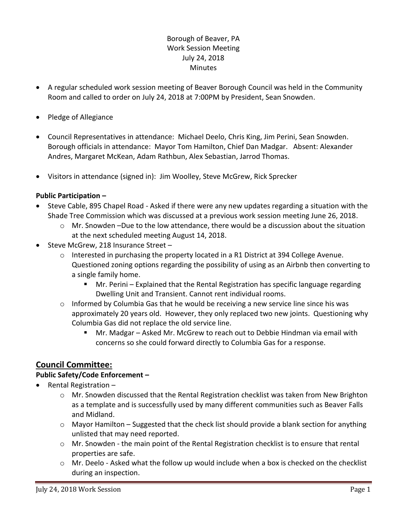### Borough of Beaver, PA Work Session Meeting July 24, 2018 **Minutes**

- A regular scheduled work session meeting of Beaver Borough Council was held in the Community Room and called to order on July 24, 2018 at 7:00PM by President, Sean Snowden.
- Pledge of Allegiance
- Council Representatives in attendance: Michael Deelo, Chris King, Jim Perini, Sean Snowden. Borough officials in attendance: Mayor Tom Hamilton, Chief Dan Madgar. Absent: Alexander Andres, Margaret McKean, Adam Rathbun, Alex Sebastian, Jarrod Thomas.
- Visitors in attendance (signed in): Jim Woolley, Steve McGrew, Rick Sprecker

#### **Public Participation –**

- Steve Cable, 895 Chapel Road Asked if there were any new updates regarding a situation with the Shade Tree Commission which was discussed at a previous work session meeting June 26, 2018.
	- $\circ$  Mr. Snowden –Due to the low attendance, there would be a discussion about the situation at the next scheduled meeting August 14, 2018.
- Steve McGrew, 218 Insurance Street
	- o Interested in purchasing the property located in a R1 District at 394 College Avenue. Questioned zoning options regarding the possibility of using as an Airbnb then converting to a single family home.
		- Mr. Perini Explained that the Rental Registration has specific language regarding Dwelling Unit and Transient. Cannot rent individual rooms.
	- $\circ$  Informed by Columbia Gas that he would be receiving a new service line since his was approximately 20 years old. However, they only replaced two new joints. Questioning why Columbia Gas did not replace the old service line.
		- Mr. Madgar Asked Mr. McGrew to reach out to Debbie Hindman via email with concerns so she could forward directly to Columbia Gas for a response.

# **Council Committee:**

#### **Public Safety/Code Enforcement –**

- Rental Registration
	- o Mr. Snowden discussed that the Rental Registration checklist was taken from New Brighton as a template and is successfully used by many different communities such as Beaver Falls and Midland.
	- $\circ$  Mayor Hamilton Suggested that the check list should provide a blank section for anything unlisted that may need reported.
	- $\circ$  Mr. Snowden the main point of the Rental Registration checklist is to ensure that rental properties are safe.
	- $\circ$  Mr. Deelo Asked what the follow up would include when a box is checked on the checklist during an inspection.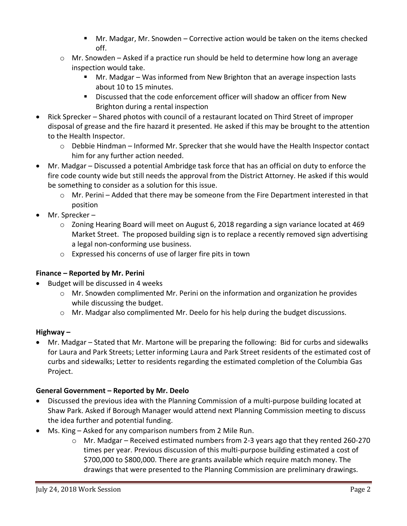- Mr. Madgar, Mr. Snowden Corrective action would be taken on the items checked off.
- $\circ$  Mr. Snowden Asked if a practice run should be held to determine how long an average inspection would take.
	- Mr. Madgar Was informed from New Brighton that an average inspection lasts about 10 to 15 minutes.
	- Discussed that the code enforcement officer will shadow an officer from New Brighton during a rental inspection
- Rick Sprecker Shared photos with council of a restaurant located on Third Street of improper disposal of grease and the fire hazard it presented. He asked if this may be brought to the attention to the Health Inspector.
	- o Debbie Hindman Informed Mr. Sprecker that she would have the Health Inspector contact him for any further action needed.
- Mr. Madgar Discussed a potential Ambridge task force that has an official on duty to enforce the fire code county wide but still needs the approval from the District Attorney. He asked if this would be something to consider as a solution for this issue.
	- $\circ$  Mr. Perini Added that there may be someone from the Fire Department interested in that position
- Mr. Sprecker
	- o Zoning Hearing Board will meet on August 6, 2018 regarding a sign variance located at 469 Market Street. The proposed building sign is to replace a recently removed sign advertising a legal non-conforming use business.
	- o Expressed his concerns of use of larger fire pits in town

## **Finance – Reported by Mr. Perini**

- Budget will be discussed in 4 weeks
	- $\circ$  Mr. Snowden complimented Mr. Perini on the information and organization he provides while discussing the budget.
	- o Mr. Madgar also complimented Mr. Deelo for his help during the budget discussions.

# **Highway –**

 Mr. Madgar – Stated that Mr. Martone will be preparing the following: Bid for curbs and sidewalks for Laura and Park Streets; Letter informing Laura and Park Street residents of the estimated cost of curbs and sidewalks; Letter to residents regarding the estimated completion of the Columbia Gas Project.

# **General Government – Reported by Mr. Deelo**

- Discussed the previous idea with the Planning Commission of a multi-purpose building located at Shaw Park. Asked if Borough Manager would attend next Planning Commission meeting to discuss the idea further and potential funding.
- Ms. King Asked for any comparison numbers from 2 Mile Run.
	- $\circ$  Mr. Madgar Received estimated numbers from 2-3 years ago that they rented 260-270 times per year. Previous discussion of this multi-purpose building estimated a cost of \$700,000 to \$800,000. There are grants available which require match money. The drawings that were presented to the Planning Commission are preliminary drawings.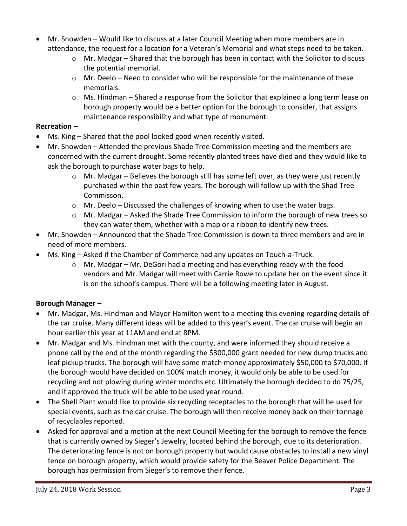- Mr. Snowden Would like to discuss at a later Council Meeting when more members are in attendance, the request for a location for a Veteran's Memorial and what steps need to be taken.
	- o Mr. Madgar Shared that the borough has been in contact with the Solicitor to discuss the potential memorial.
	- $\circ$  Mr. Deelo Need to consider who will be responsible for the maintenance of these memorials.
	- $\circ$  Ms. Hindman Shared a response from the Solicitor that explained a long term lease on borough property would be a better option for the borough to consider, that assigns maintenance responsibility and what type of monument.

### **Recreation –**

- Ms. King Shared that the pool looked good when recently visited.
- Mr. Snowden Attended the previous Shade Tree Commission meeting and the members are concerned with the current drought. Some recently planted trees have died and they would like to ask the borough to purchase water bags to help.
	- $\circ$  Mr. Madgar Believes the borough still has some left over, as they were just recently purchased within the past few years. The borough will follow up with the Shad Tree Commisson.
	- o Mr. Deelo Discussed the challenges of knowing when to use the water bags.
	- $\circ$  Mr. Madgar Asked the Shade Tree Commission to inform the borough of new trees so they can water them, whether with a map or a ribbon to identify new trees.
- Mr. Snowden Announced that the Shade Tree Commission is down to three members and are in need of more members.
- Ms. King Asked if the Chamber of Commerce had any updates on Touch-a-Truck.
	- $\circ$  Mr. Madgar Mr. DeGori had a meeting and has everything ready with the food vendors and Mr. Madgar will meet with Carrie Rowe to update her on the event since it is on the school's campus. There will be a following meeting later in August.

## **Borough Manager –**

- Mr. Madgar, Ms. Hindman and Mayor Hamilton went to a meeting this evening regarding details of the car cruise. Many different ideas will be added to this year's event. The car cruise will begin an hour earlier this year at 11AM and end at 8PM.
- Mr. Madgar and Ms. Hindman met with the county, and were informed they should receive a phone call by the end of the month regarding the \$300,000 grant needed for new dump trucks and leaf pickup trucks. The borough will have some match money approximately \$50,000 to \$70,000. If the borough would have decided on 100% match money, it would only be able to be used for recycling and not plowing during winter months etc. Ultimately the borough decided to do 75/25, and if approved the truck will be able to be used year round.
- The Shell Plant would like to provide six recycling receptacles to the borough that will be used for special events, such as the car cruise. The borough will then receive money back on their tonnage of recyclables reported.
- Asked for approval and a motion at the next Council Meeting for the borough to remove the fence that is currently owned by Sieger's Jewelry, located behind the borough, due to its deterioration. The deteriorating fence is not on borough property but would cause obstacles to install a new vinyl fence on borough property, which would provide safety for the Beaver Police Department. The borough has permission from Sieger's to remove their fence.